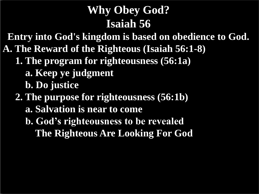# **Why Obey God? Isaiah 56**

**Entry into God's kingdom is based on obedience to God.**

- **A. The Reward of the Righteous (Isaiah 56:1-8)**
	- **1. The program for righteousness (56:1a)**
		- **a. Keep ye judgment**
		- **b. Do justice**
	- **2. The purpose for righteousness (56:1b)**
		- **a. Salvation is near to come**
		- **b. God's righteousness to be revealed The Righteous Are Looking For God**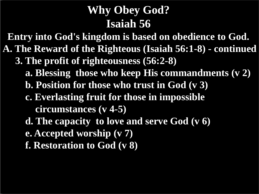# **Why Obey God? Isaiah 56**

**Entry into God's kingdom is based on obedience to God.**

- **A. The Reward of the Righteous (Isaiah 56:1-8) - continued**
	- **3. The profit of righteousness (56:2-8)**
		- **a. Blessing those who keep His commandments (v 2)**
		- **b. Position for those who trust in God (v 3)**
		- **c. Everlasting fruit for those in impossible circumstances (v 4-5)**
		- **d. The capacity to love and serve God (v 6)**
		- **e. Accepted worship (v 7)**
		- **f. Restoration to God (v 8)**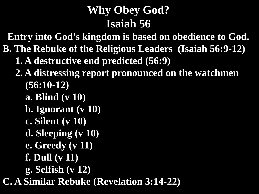# **Why Obey God? Isaiah 56**

**Entry into God's kingdom is based on obedience to God.**

- **B. The Rebuke of the Religious Leaders (Isaiah 56:9-12)**
	- **1. A destructive end predicted (56:9)**
	- **2. A distressing report pronounced on the watchmen (56:10-12)**
		- **a. Blind (v 10)**
		- **b. Ignorant (v 10)**
		- **c. Silent (v 10)**
		- **d. Sleeping (v 10)**
		- **e. Greedy (v 11)**
		- **f. Dull (v 11)**
		- **g. Selfish (v 12)**
- **C. A Similar Rebuke (Revelation 3:14-22)**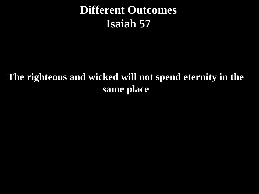## **Different Outcomes Isaiah 57**

#### **The righteous and wicked will not spend eternity in the same place**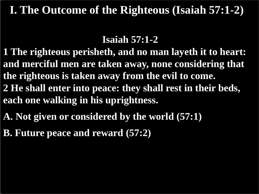### **I. The Outcome of the Righteous (Isaiah 57:1-2)**

#### **Isaiah 57:1-2**

- **1 The righteous perisheth, and no man layeth it to heart: and merciful men are taken away, none considering that the righteous is taken away from the evil to come. 2 He shall enter into peace: they shall rest in their beds, each one walking in his uprightness.**
- **A. Not given or considered by the world (57:1)**
- **B. Future peace and reward (57:2)**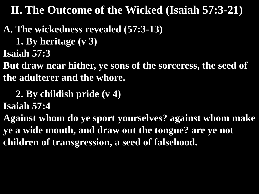**A. The wickedness revealed (57:3-13) 1. By heritage (v 3) Isaiah 57:3**

**But draw near hither, ye sons of the sorceress, the seed of the adulterer and the whore.**

 **2. By childish pride (v 4)**

**Isaiah 57:4**

**Against whom do ye sport yourselves? against whom make ye a wide mouth, and draw out the tongue? are ye not children of transgression, a seed of falsehood.**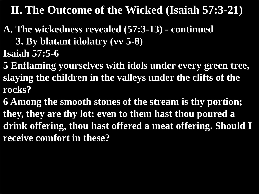- **A. The wickedness revealed (57:3-13) - continued 3. By blatant idolatry (vv 5-8) Isaiah 57:5-6**
- **5 Enflaming yourselves with idols under every green tree, slaying the children in the valleys under the clifts of the rocks?**
- **6 Among the smooth stones of the stream is thy portion; they, they are thy lot: even to them hast thou poured a drink offering, thou hast offered a meat offering. Should I receive comfort in these?**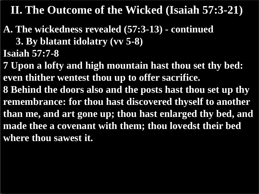- **A. The wickedness revealed (57:3-13) - continued 3. By blatant idolatry (vv 5-8) Isaiah 57:7-8**
- **7 Upon a lofty and high mountain hast thou set thy bed: even thither wentest thou up to offer sacrifice.**
- **8 Behind the doors also and the posts hast thou set up thy remembrance: for thou hast discovered thyself to another than me, and art gone up; thou hast enlarged thy bed, and made thee a covenant with them; thou lovedst their bed where thou sawest it.**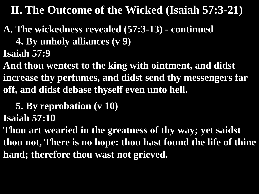- **A. The wickedness revealed (57:3-13) - continued 4. By unholy alliances (v 9) Isaiah 57:9**
- **And thou wentest to the king with ointment, and didst increase thy perfumes, and didst send thy messengers far off, and didst debase thyself even unto hell.**
- **5. By reprobation (v 10) Isaiah 57:10**
- **Thou art wearied in the greatness of thy way; yet saidst thou not, There is no hope: thou hast found the life of thine hand; therefore thou wast not grieved.**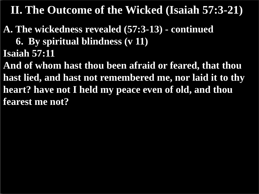- **A. The wickedness revealed (57:3-13) - continued 6. By spiritual blindness (v 11) Isaiah 57:11**
- **And of whom hast thou been afraid or feared, that thou hast lied, and hast not remembered me, nor laid it to thy heart? have not I held my peace even of old, and thou fearest me not?**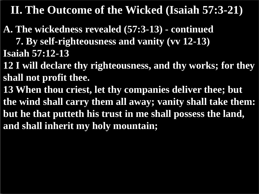**A. The wickedness revealed (57:3-13) - continued**

 **7. By self-righteousness and vanity (vv 12-13) Isaiah 57:12-13**

**12 I will declare thy righteousness, and thy works; for they shall not profit thee.**

**13 When thou criest, let thy companies deliver thee; but the wind shall carry them all away; vanity shall take them: but he that putteth his trust in me shall possess the land, and shall inherit my holy mountain;**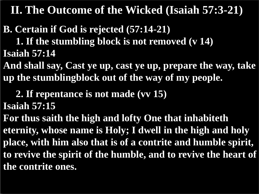- **B. Certain if God is rejected (57:14-21) 1. If the stumbling block is not removed (v 14) Isaiah 57:14**
- **And shall say, Cast ye up, cast ye up, prepare the way, take up the stumblingblock out of the way of my people.**
	- **2. If repentance is not made (vv 15)**
- **Isaiah 57:15**
- **For thus saith the high and lofty One that inhabiteth eternity, whose name is Holy; I dwell in the high and holy place, with him also that is of a contrite and humble spirit, to revive the spirit of the humble, and to revive the heart of the contrite ones.**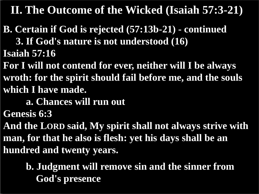- **B. Certain if God is rejected (57:13b-21) - continued 3. If God's nature is not understood (16) Isaiah 57:16**
- **For I will not contend for ever, neither will I be always wroth: for the spirit should fail before me, and the souls which I have made.**
	- **a. Chances will run out**
- **Genesis 6:3**
- **And the LORD said, My spirit shall not always strive with man, for that he also is flesh: yet his days shall be an hundred and twenty years.**
	- **b. Judgment will remove sin and the sinner from God's presence**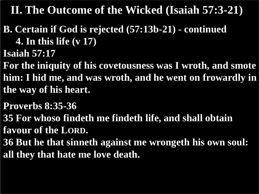**B. Certain if God is rejected (57:13b-21) - continued 4. In this life (v 17)**

**Isaiah 57:17**

**For the iniquity of his covetousness was I wroth, and smote him: I hid me, and was wroth, and he went on frowardly in the way of his heart.**

**Proverbs 8:35-36**

**35 For whoso findeth me findeth life, and shall obtain favour of the LORD.**

**36 But he that sinneth against me wrongeth his own soul: all they that hate me love death.**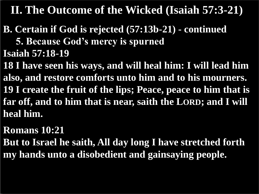**B. Certain if God is rejected (57:13b-21) - continued 5. Because God's mercy is spurned Isaiah 57:18-19**

**18 I have seen his ways, and will heal him: I will lead him also, and restore comforts unto him and to his mourners. 19 I create the fruit of the lips; Peace, peace to him that is far off, and to him that is near, saith the LORD; and I will heal him.**

**Romans 10:21**

**But to Israel he saith, All day long I have stretched forth my hands unto a disobedient and gainsaying people.**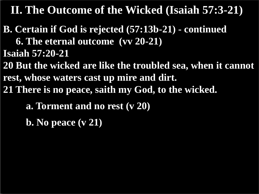- **B. Certain if God is rejected (57:13b-21) - continued 6. The eternal outcome (vv 20-21) Isaiah 57:20-21**
- **20 But the wicked are like the troubled sea, when it cannot rest, whose waters cast up mire and dirt.**
- **21 There is no peace, saith my God, to the wicked.**
	- **a. Torment and no rest (v 20)**
	- **b. No peace (v 21)**